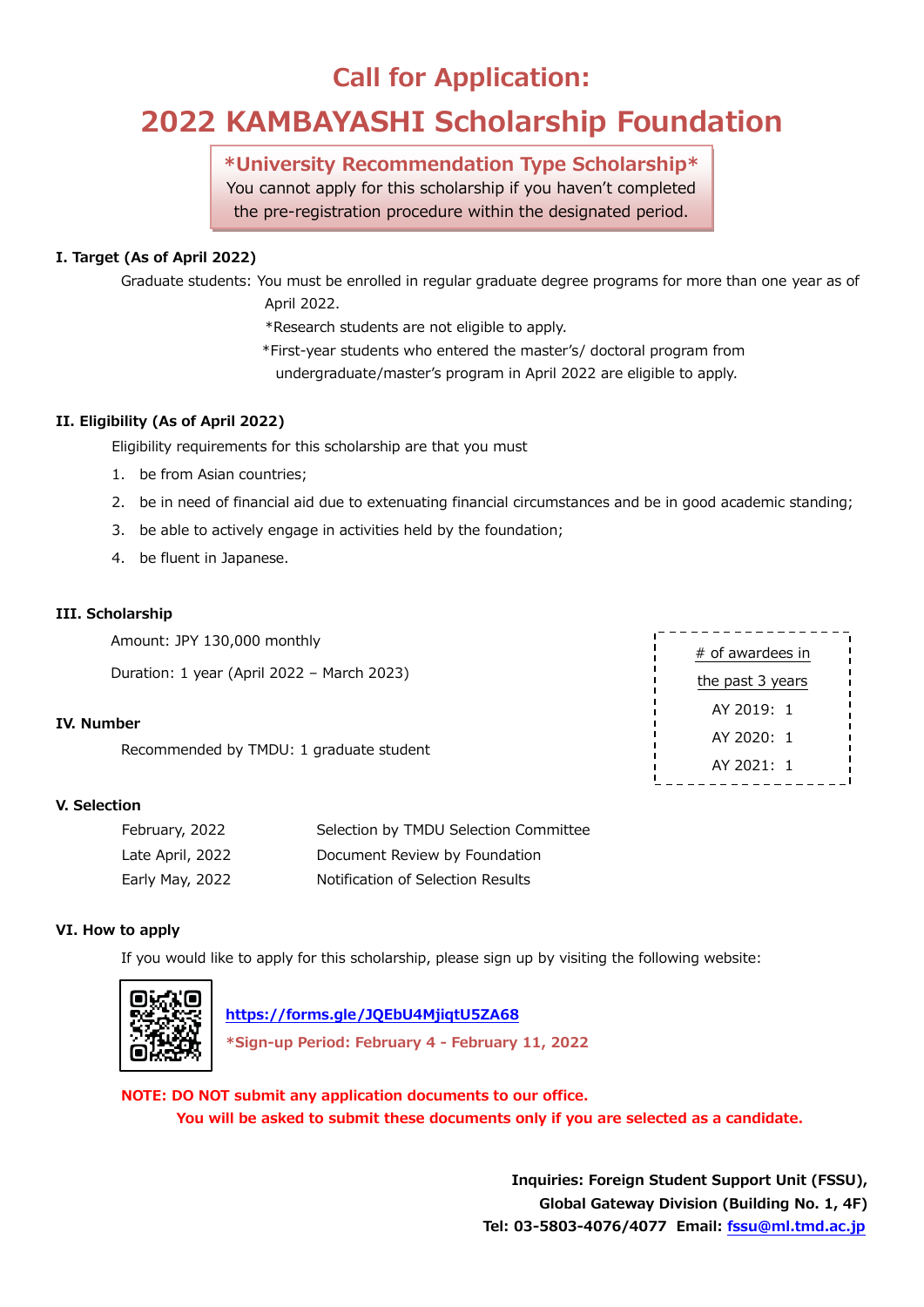## **Call for Application:**

# **2022 KAMBAYASHI Scholarship Foundation**

### **\*University Recommendation Type Scholarship\***

You cannot apply for this scholarship if you haven't completed the pre-registration procedure within the designated period.

### **I. Target (As of April 2022)**

Graduate students: You must be enrolled in regular graduate degree programs for more than one year as of April 2022.

\*Research students are not eligible to apply.

\*First-year students who entered the master's/ doctoral program from

undergraduate/master's program in April 2022 are eligible to apply.

### **II. Eligibility (As of April 2022)**

Eligibility requirements for this scholarship are that you must

- 1. be from Asian countries;
- 2. be in need of financial aid due to extenuating financial circumstances and be in good academic standing;
- 3. be able to actively engage in activities held by the foundation;
- 4. be fluent in Japanese.

### **III. Scholarship**

Amount: JPY 130,000 monthly Duration: 1 year (April 2022 – March 2023)

### **IV. Number**

Recommended by TMDU: 1 graduate student

### **V. Selection**

| February, 2022   | Selection by TMDU Selection Committee |
|------------------|---------------------------------------|
| Late April, 2022 | Document Review by Foundation         |
| Early May, 2022  | Notification of Selection Results     |

### **VI. How to apply**

If you would like to apply for this scholarship, please sign up by visiting the following website:



### **<https://forms.gle/JQEbU4MjiqtU5ZA68>**

**\*Sign-up Period: February 4 - February 11, 2022**

**NOTE: DO NOT submit any application documents to our office. You will be asked to submit these documents only if you are selected as a candidate.**

> **Inquiries: Foreign Student Support Unit (FSSU), Global Gateway Division (Building No. 1, 4F) Tel: 03-5803-4076/4077 Email: [fssu@ml.tmd.ac.jp](mailto:fssu@ml.tmd.ac.jp)**

# of awardees in the past 3 years AY 2019: 1 AY 2020: 1 AY 2021: 1